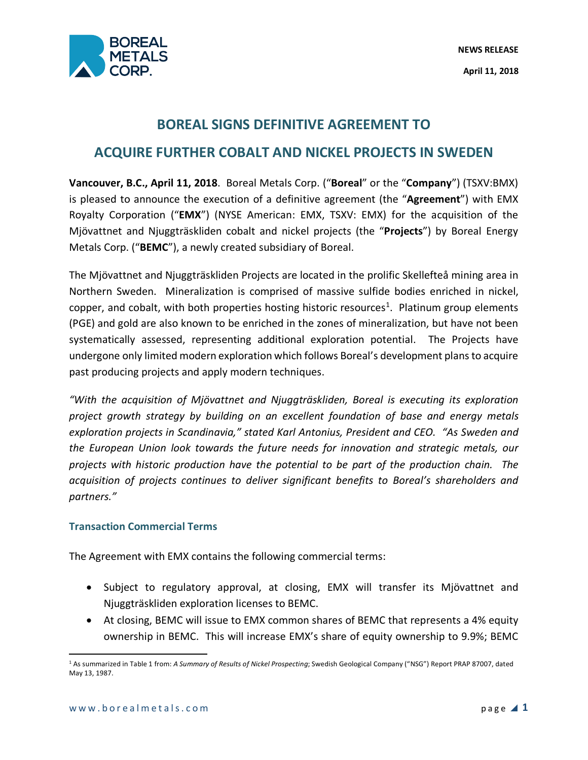

## **BOREAL SIGNS DEFINITIVE AGREEMENT TO**

# **ACQUIRE FURTHER COBALT AND NICKEL PROJECTS IN SWEDEN**

**Vancouver, B.C., April 11, 2018**. Boreal Metals Corp. ("**Boreal**" or the "**Company**") (TSXV:BMX) is pleased to announce the execution of a definitive agreement (the "**Agreement**") with EMX Royalty Corporation ("**EMX**") (NYSE American: EMX, TSXV: EMX) for the acquisition of the Mjövattnet and Njuggträskliden cobalt and nickel projects (the "**Projects**") by Boreal Energy Metals Corp. ("**BEMC**"), a newly created subsidiary of Boreal.

The Mjövattnet and Njuggträskliden Projects are located in the prolific Skellefteå mining area in Northern Sweden. Mineralization is comprised of massive sulfide bodies enriched in nickel, copper, and cobalt, with both properties hosting historic resources<sup>1</sup>. Platinum group elements (PGE) and gold are also known to be enriched in the zones of mineralization, but have not been systematically assessed, representing additional exploration potential. The Projects have undergone only limited modern exploration which follows Boreal's development plans to acquire past producing projects and apply modern techniques.

*"With the acquisition of Mjövattnet and Njuggträskliden, Boreal is executing its exploration project growth strategy by building on an excellent foundation of base and energy metals exploration projects in Scandinavia," stated Karl Antonius, President and CEO. "As Sweden and the European Union look towards the future needs for innovation and strategic metals, our projects with historic production have the potential to be part of the production chain. The acquisition of projects continues to deliver significant benefits to Boreal's shareholders and partners."*

## **Transaction Commercial Terms**

The Agreement with EMX contains the following commercial terms:

- Subject to regulatory approval, at closing, EMX will transfer its Mjövattnet and Njuggträskliden exploration licenses to BEMC.
- At closing, BEMC will issue to EMX common shares of BEMC that represents a 4% equity ownership in BEMC. This will increase EMX's share of equity ownership to 9.9%; BEMC

 <sup>1</sup> As summarized in Table 1 from: *A Summary of Results of Nickel Prospecting*; Swedish Geological Company ("NSG") Report PRAP 87007, dated May 13, 1987.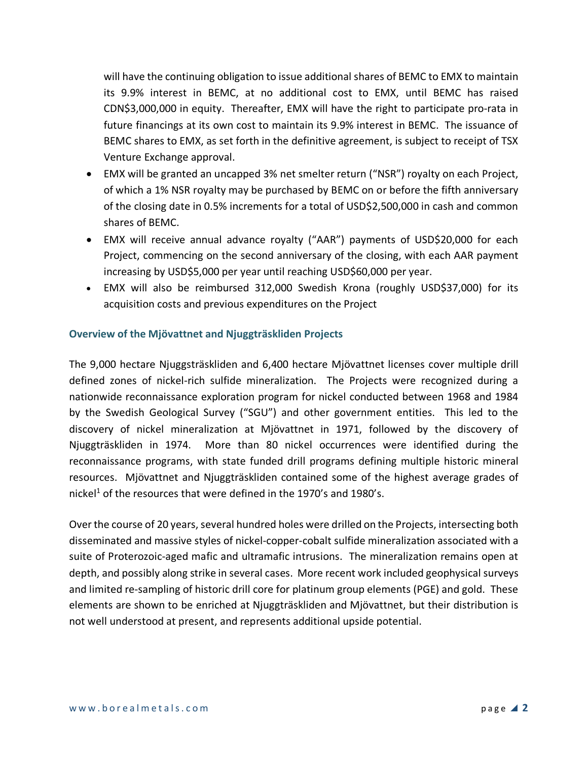will have the continuing obligation to issue additional shares of BEMC to EMX to maintain its 9.9% interest in BEMC, at no additional cost to EMX, until BEMC has raised CDN\$3,000,000 in equity. Thereafter, EMX will have the right to participate pro-rata in future financings at its own cost to maintain its 9.9% interest in BEMC. The issuance of BEMC shares to EMX, as set forth in the definitive agreement, is subject to receipt of TSX Venture Exchange approval.

- EMX will be granted an uncapped 3% net smelter return ("NSR") royalty on each Project, of which a 1% NSR royalty may be purchased by BEMC on or before the fifth anniversary of the closing date in 0.5% increments for a total of USD\$2,500,000 in cash and common shares of BEMC.
- EMX will receive annual advance royalty ("AAR") payments of USD\$20,000 for each Project, commencing on the second anniversary of the closing, with each AAR payment increasing by USD\$5,000 per year until reaching USD\$60,000 per year.
- EMX will also be reimbursed 312,000 Swedish Krona (roughly USD\$37,000) for its acquisition costs and previous expenditures on the Project

## **Overview of the Mjövattnet and Njuggträskliden Projects**

The 9,000 hectare Njuggsträskliden and 6,400 hectare Mjövattnet licenses cover multiple drill defined zones of nickel-rich sulfide mineralization. The Projects were recognized during a nationwide reconnaissance exploration program for nickel conducted between 1968 and 1984 by the Swedish Geological Survey ("SGU") and other government entities. This led to the discovery of nickel mineralization at Mjövattnet in 1971, followed by the discovery of Njuggträskliden in 1974. More than 80 nickel occurrences were identified during the reconnaissance programs, with state funded drill programs defining multiple historic mineral resources. Mjövattnet and Njuggträskliden contained some of the highest average grades of nickel<sup>1</sup> of the resources that were defined in the 1970's and 1980's.

Over the course of 20 years, several hundred holes were drilled on the Projects, intersecting both disseminated and massive styles of nickel-copper-cobalt sulfide mineralization associated with a suite of Proterozoic-aged mafic and ultramafic intrusions. The mineralization remains open at depth, and possibly along strike in several cases. More recent work included geophysical surveys and limited re-sampling of historic drill core for platinum group elements (PGE) and gold. These elements are shown to be enriched at Njuggträskliden and Mjövattnet, but their distribution is not well understood at present, and represents additional upside potential.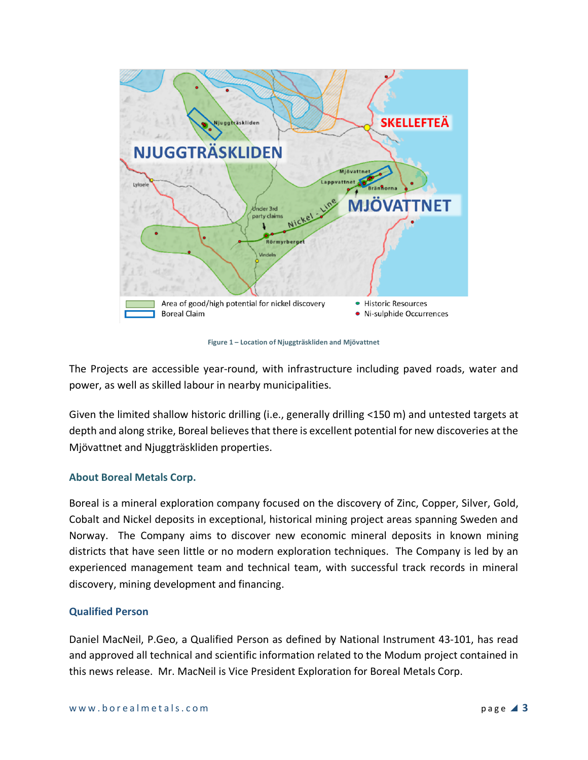

**Figure 1 – Location of Njuggträskliden and Mjövattnet**

The Projects are accessible year-round, with infrastructure including paved roads, water and power, as well as skilled labour in nearby municipalities.

Given the limited shallow historic drilling (i.e., generally drilling <150 m) and untested targets at depth and along strike, Boreal believes that there is excellent potential for new discoveries at the Mjövattnet and Njuggträskliden properties.

## **About Boreal Metals Corp.**

Boreal is a mineral exploration company focused on the discovery of Zinc, Copper, Silver, Gold, Cobalt and Nickel deposits in exceptional, historical mining project areas spanning Sweden and Norway. The Company aims to discover new economic mineral deposits in known mining districts that have seen little or no modern exploration techniques. The Company is led by an experienced management team and technical team, with successful track records in mineral discovery, mining development and financing.

## **Qualified Person**

Daniel MacNeil, P.Geo, a Qualified Person as defined by National Instrument 43-101, has read and approved all technical and scientific information related to the Modum project contained in this news release. Mr. MacNeil is Vice President Exploration for Boreal Metals Corp.